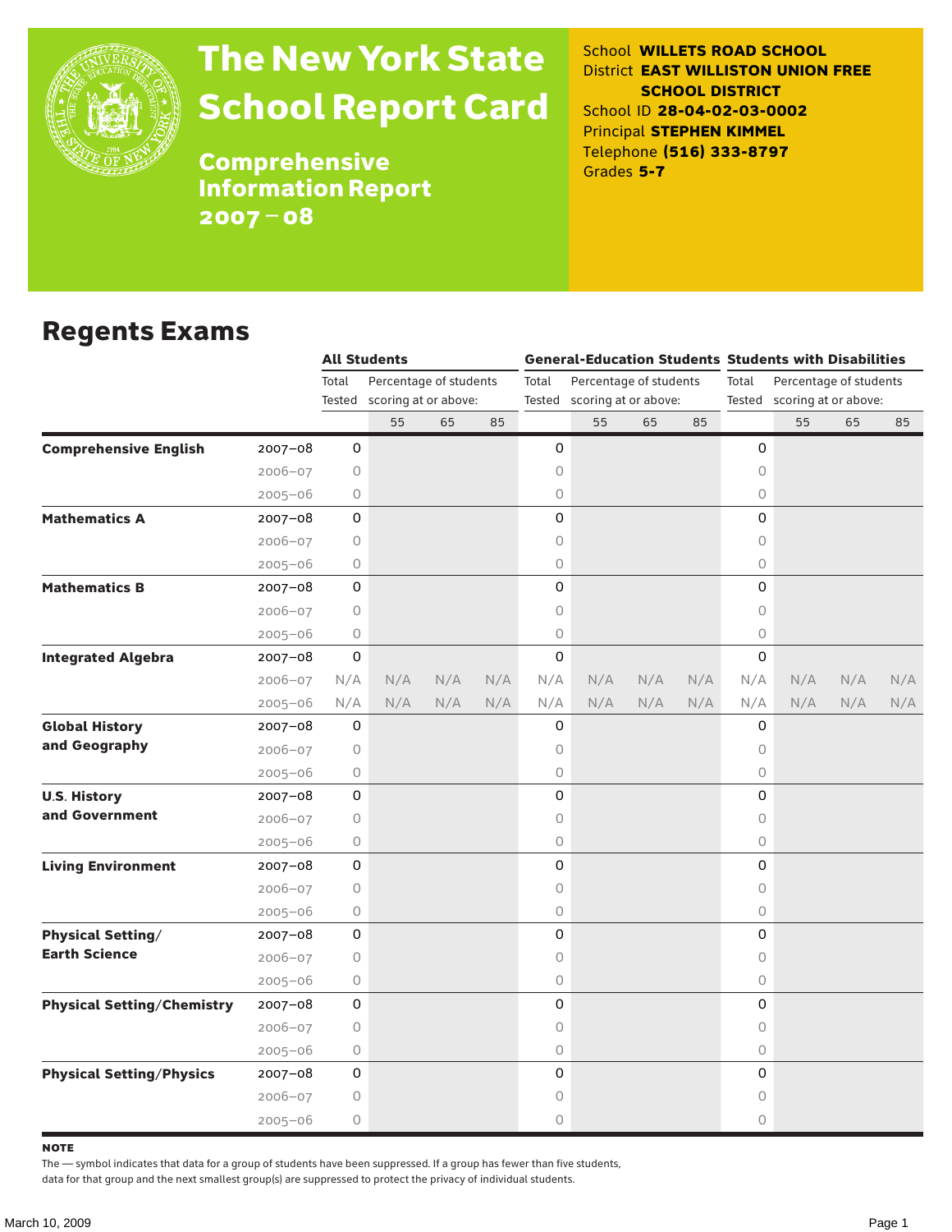

# The New York State School Report Card

School **WILLETS ROAD SCHOOL** District **EAST WILLISTON UNION FREE SCHOOL DISTRICT** School ID **28-04-02-03-0002** Principal **STEPHEN KIMMEL** Telephone **(516) 333-8797** Grades **5-7**

**Comprehensive** Information Report 2007–08

### Regents Exams

|                                   |             | <b>All Students</b> |                             |     |     | <b>General-Education Students Students with Disabilities</b> |                             |     |     |          |                             |     |     |  |
|-----------------------------------|-------------|---------------------|-----------------------------|-----|-----|--------------------------------------------------------------|-----------------------------|-----|-----|----------|-----------------------------|-----|-----|--|
|                                   |             | Total               | Percentage of students      |     |     | Total<br>Percentage of students                              |                             |     |     | Total    | Percentage of students      |     |     |  |
|                                   |             |                     | Tested scoring at or above: |     |     |                                                              | Tested scoring at or above: |     |     |          | Tested scoring at or above: |     |     |  |
|                                   |             |                     | 55                          | 65  | 85  |                                                              | 55                          | 65  | 85  |          | 55                          | 65  | 85  |  |
| <b>Comprehensive English</b>      | $2007 - 08$ | 0                   |                             |     |     | 0                                                            |                             |     |     | 0        |                             |     |     |  |
|                                   | $2006 - 07$ | 0                   |                             |     |     | 0                                                            |                             |     |     | 0        |                             |     |     |  |
|                                   | $2005 - 06$ | 0                   |                             |     |     | 0                                                            |                             |     |     | $\circ$  |                             |     |     |  |
| <b>Mathematics A</b>              | $2007 - 08$ | 0                   |                             |     |     | 0                                                            |                             |     |     | 0        |                             |     |     |  |
|                                   | $2006 - 07$ | 0                   |                             |     |     | 0                                                            |                             |     |     | 0        |                             |     |     |  |
|                                   | $2005 - 06$ | 0                   |                             |     |     | 0                                                            |                             |     |     | $\circ$  |                             |     |     |  |
| <b>Mathematics B</b>              | $2007 - 08$ | 0                   |                             |     |     | 0                                                            |                             |     |     | 0        |                             |     |     |  |
|                                   | $2006 - 07$ | $\circ$             |                             |     |     | 0                                                            |                             |     |     | $\circ$  |                             |     |     |  |
|                                   | $2005 - 06$ | $\circ$             |                             |     |     | 0                                                            |                             |     |     | $\circ$  |                             |     |     |  |
| <b>Integrated Algebra</b>         | $2007 - 08$ | 0                   |                             |     |     | 0                                                            |                             |     |     | 0        |                             |     |     |  |
|                                   | $2006 - 07$ | N/A                 | N/A                         | N/A | N/A | N/A                                                          | N/A                         | N/A | N/A | N/A      | N/A                         | N/A | N/A |  |
|                                   | $2005 - 06$ | N/A                 | N/A                         | N/A | N/A | N/A                                                          | N/A                         | N/A | N/A | N/A      | N/A                         | N/A | N/A |  |
| <b>Global History</b>             | 2007-08     | 0                   |                             |     |     | 0                                                            |                             |     |     | 0        |                             |     |     |  |
| and Geography                     | $2006 - 07$ | 0                   |                             |     |     | 0                                                            |                             |     |     | 0        |                             |     |     |  |
|                                   | $2005 - 06$ | 0                   |                             |     |     | 0                                                            |                             |     |     | $\circ$  |                             |     |     |  |
| <b>U.S. History</b>               | $2007 - 08$ | 0                   |                             |     |     | 0                                                            |                             |     |     | 0        |                             |     |     |  |
| and Government                    | $2006 - 07$ | 0                   |                             |     |     | 0                                                            |                             |     |     | $\circ$  |                             |     |     |  |
|                                   | $2005 - 06$ | 0                   |                             |     |     | 0                                                            |                             |     |     | $\circ$  |                             |     |     |  |
| <b>Living Environment</b>         | $2007 - 08$ | 0                   |                             |     |     | 0                                                            |                             |     |     | 0        |                             |     |     |  |
|                                   | $2006 - 07$ | 0                   |                             |     |     | 0                                                            |                             |     |     | $\circ$  |                             |     |     |  |
|                                   | $2005 - 06$ | 0                   |                             |     |     | 0                                                            |                             |     |     | $\circ$  |                             |     |     |  |
| <b>Physical Setting/</b>          | 2007-08     | 0                   |                             |     |     | 0                                                            |                             |     |     | 0        |                             |     |     |  |
| <b>Earth Science</b>              | $2006 - 07$ | $\circ$             |                             |     |     | 0                                                            |                             |     |     | $\circ$  |                             |     |     |  |
|                                   | $2005 - 06$ | 0                   |                             |     |     | 0                                                            |                             |     |     | 0        |                             |     |     |  |
| <b>Physical Setting/Chemistry</b> | $2007 - 08$ | 0                   |                             |     |     | 0                                                            |                             |     |     | 0        |                             |     |     |  |
|                                   | $2006 - 07$ | 0                   |                             |     |     | 0                                                            |                             |     |     | 0        |                             |     |     |  |
|                                   | $2005 - 06$ | 0                   |                             |     |     | 0                                                            |                             |     |     | $\circ$  |                             |     |     |  |
| <b>Physical Setting/Physics</b>   | $2007 - 08$ | 0                   |                             |     |     | 0                                                            |                             |     |     | $\Omega$ |                             |     |     |  |
|                                   | $2006 - 07$ | 0                   |                             |     |     | 0                                                            |                             |     |     | 0        |                             |     |     |  |
|                                   | $2005 - 06$ | 0                   |                             |     |     | 0                                                            |                             |     |     | 0        |                             |     |     |  |

**NOTE** 

The — symbol indicates that data for a group of students have been suppressed. If a group has fewer than five students,

data for that group and the next smallest group(s) are suppressed to protect the privacy of individual students.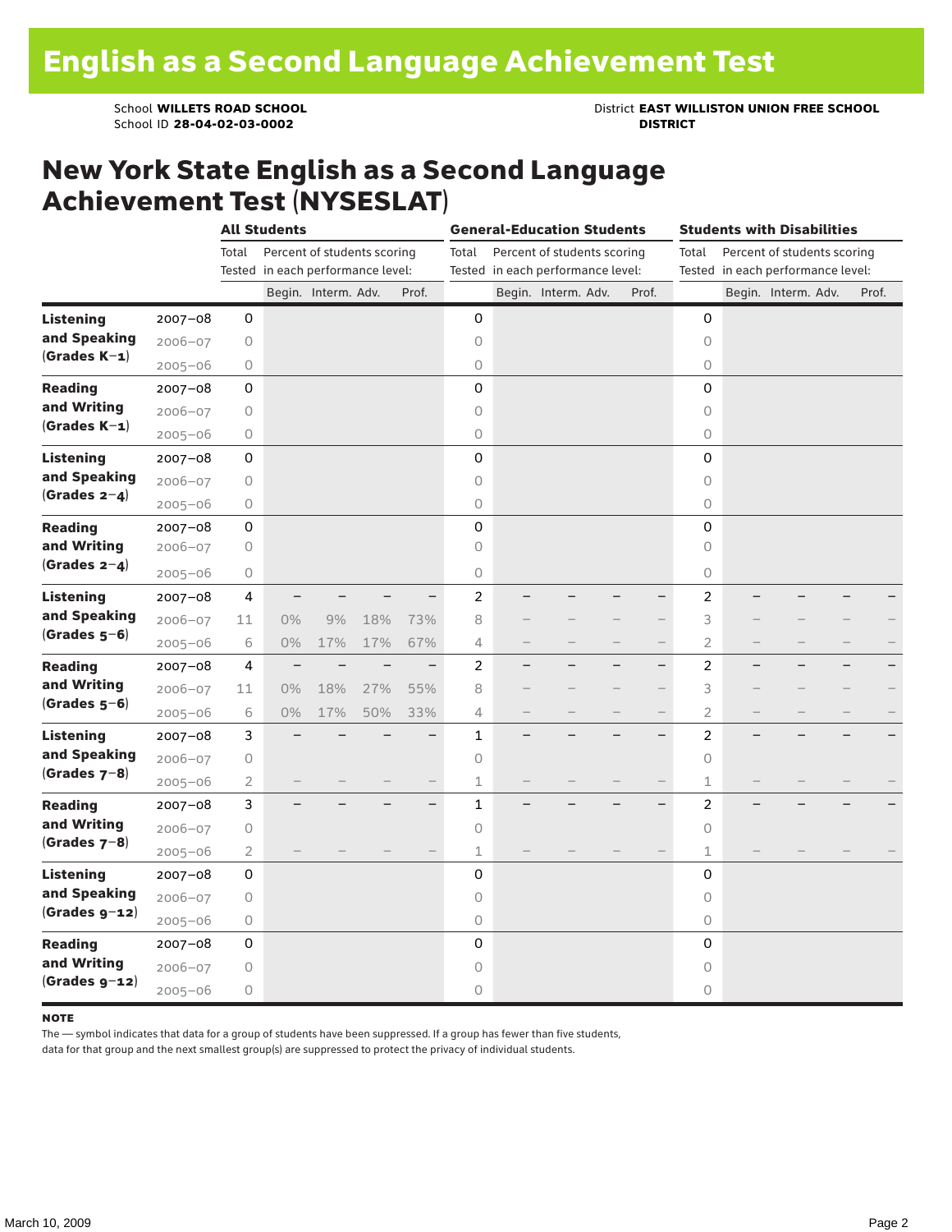School ID 28-04-02-03-0002

School **WILLETS ROAD SCHOOL**<br>School ID 28-04-02-03-0002<br>**DISTRICT** DISTRICT

### New York State English as a Second Language Achievement Test (NYSESLAT)

|                  |             | <b>All Students</b> |                                   |                             |     | <b>General-Education Students</b> |                |  |                                                                  |  | <b>Students with Disabilities</b> |                |                                                                  |                     |  |       |  |
|------------------|-------------|---------------------|-----------------------------------|-----------------------------|-----|-----------------------------------|----------------|--|------------------------------------------------------------------|--|-----------------------------------|----------------|------------------------------------------------------------------|---------------------|--|-------|--|
|                  |             | Total               | Tested in each performance level: | Percent of students scoring |     |                                   | Total          |  | Percent of students scoring<br>Tested in each performance level: |  |                                   | Total          | Percent of students scoring<br>Tested in each performance level: |                     |  |       |  |
|                  |             |                     |                                   | Begin. Interm. Adv.         |     | Prof.                             |                |  | Begin. Interm. Adv.                                              |  | Prof.                             |                |                                                                  | Begin. Interm. Adv. |  | Prof. |  |
| <b>Listening</b> | 2007-08     | 0                   |                                   |                             |     |                                   | 0              |  |                                                                  |  |                                   | 0              |                                                                  |                     |  |       |  |
| and Speaking     | $2006 - 07$ | 0                   |                                   |                             |     |                                   | 0              |  |                                                                  |  |                                   | 0              |                                                                  |                     |  |       |  |
| $(Grades K-1)$   | $2005 - 06$ | 0                   |                                   |                             |     |                                   | 0              |  |                                                                  |  |                                   | 0              |                                                                  |                     |  |       |  |
| <b>Reading</b>   | $2007 - 08$ | 0                   |                                   |                             |     |                                   | 0              |  |                                                                  |  |                                   | 0              |                                                                  |                     |  |       |  |
| and Writing      | $2006 - 07$ | 0                   |                                   |                             |     |                                   | $\circ$        |  |                                                                  |  |                                   | 0              |                                                                  |                     |  |       |  |
| $(Grades K-1)$   | $2005 - 06$ | 0                   |                                   |                             |     |                                   | $\circ$        |  |                                                                  |  |                                   | 0              |                                                                  |                     |  |       |  |
| <b>Listening</b> | $2007 - 08$ | 0                   |                                   |                             |     |                                   | 0              |  |                                                                  |  |                                   | 0              |                                                                  |                     |  |       |  |
| and Speaking     | $2006 - 07$ | 0                   |                                   |                             |     |                                   | 0              |  |                                                                  |  |                                   | $\circ$        |                                                                  |                     |  |       |  |
| $(Grades 2-4)$   | $2005 - 06$ | 0                   |                                   |                             |     |                                   | $\bigcirc$     |  |                                                                  |  |                                   | $\circ$        |                                                                  |                     |  |       |  |
| <b>Reading</b>   | $2007 - 08$ | 0                   |                                   |                             |     |                                   | 0              |  |                                                                  |  |                                   | 0              |                                                                  |                     |  |       |  |
| and Writing      | $2006 - 07$ | 0                   |                                   |                             |     |                                   | $\circ$        |  |                                                                  |  |                                   | $\circ$        |                                                                  |                     |  |       |  |
| (Grades $2-4$ )  | $2005 - 06$ | 0                   |                                   |                             |     |                                   | 0              |  |                                                                  |  |                                   | 0              |                                                                  |                     |  |       |  |
| Listening        | $2007 - 08$ | 4                   |                                   |                             |     |                                   | $\overline{c}$ |  |                                                                  |  |                                   | 2              |                                                                  |                     |  |       |  |
| and Speaking     | $2006 - 07$ | 11                  | 0%                                | 9%                          | 18% | 73%                               | 8              |  |                                                                  |  |                                   | 3              |                                                                  |                     |  |       |  |
| $(Grades 5-6)$   | $2005 - 06$ | 6                   | $0\%$                             | 17%                         | 17% | 67%                               | 4              |  |                                                                  |  | $\overline{\phantom{0}}$          | 2              |                                                                  |                     |  |       |  |
| <b>Reading</b>   | $2007 - 08$ | 4                   |                                   |                             |     | -                                 | $\overline{c}$ |  |                                                                  |  | -                                 | 2              |                                                                  |                     |  |       |  |
| and Writing      | $2006 - 07$ | 11                  | 0%                                | 18%                         | 27% | 55%                               | 8              |  |                                                                  |  |                                   | 3              |                                                                  |                     |  |       |  |
| $(Grades 5-6)$   | $2005 - 06$ | 6                   | $0\%$                             | 17%                         | 50% | 33%                               | 4              |  |                                                                  |  | $\overline{\phantom{0}}$          | $\overline{2}$ |                                                                  |                     |  |       |  |
| <b>Listening</b> | $2007 - 08$ | 3                   |                                   |                             |     | $\overline{\phantom{0}}$          | $\mathbf{1}$   |  |                                                                  |  |                                   | 2              |                                                                  |                     |  |       |  |
| and Speaking     | $2006 - 07$ | 0                   |                                   |                             |     |                                   | $\circ$        |  |                                                                  |  |                                   | $\circ$        |                                                                  |                     |  |       |  |
| (Grades $7-8$ )  | $2005 - 06$ | 2                   |                                   |                             |     |                                   | 1              |  |                                                                  |  |                                   | 1              |                                                                  |                     |  |       |  |
| <b>Reading</b>   | $2007 - 08$ | 3                   |                                   |                             |     | $\overline{\phantom{0}}$          | $\mathbf 1$    |  |                                                                  |  | $\overline{\phantom{0}}$          | $\overline{c}$ |                                                                  |                     |  |       |  |
| and Writing      | $2006 - 07$ | 0                   |                                   |                             |     |                                   | $\circ$        |  |                                                                  |  |                                   | 0              |                                                                  |                     |  |       |  |
| (Grades $7-8$ )  | $2005 - 06$ | 2                   |                                   |                             |     |                                   | $\mathbf 1$    |  |                                                                  |  |                                   | 1              |                                                                  |                     |  |       |  |
| <b>Listening</b> | $2007 - 08$ | 0                   |                                   |                             |     |                                   | 0              |  |                                                                  |  |                                   | 0              |                                                                  |                     |  |       |  |
| and Speaking     | $2006 - 07$ | 0                   |                                   |                             |     |                                   | $\circ$        |  |                                                                  |  |                                   | $\circ$        |                                                                  |                     |  |       |  |
| $(Grades g-12)$  | $2005 - 06$ | 0                   |                                   |                             |     |                                   | $\bigcirc$     |  |                                                                  |  |                                   | 0              |                                                                  |                     |  |       |  |
| <b>Reading</b>   | $2007 - 08$ | 0                   |                                   |                             |     |                                   | 0              |  |                                                                  |  |                                   | 0              |                                                                  |                     |  |       |  |
| and Writing      | $2006 - 07$ | 0                   |                                   |                             |     |                                   | 0              |  |                                                                  |  |                                   | 0              |                                                                  |                     |  |       |  |
| $(Grades g-12)$  | $2005 - 06$ | 0                   |                                   |                             |     |                                   | 0              |  |                                                                  |  |                                   | 0              |                                                                  |                     |  |       |  |

#### **NOTE**

The — symbol indicates that data for a group of students have been suppressed. If a group has fewer than five students,

data for that group and the next smallest group(s) are suppressed to protect the privacy of individual students.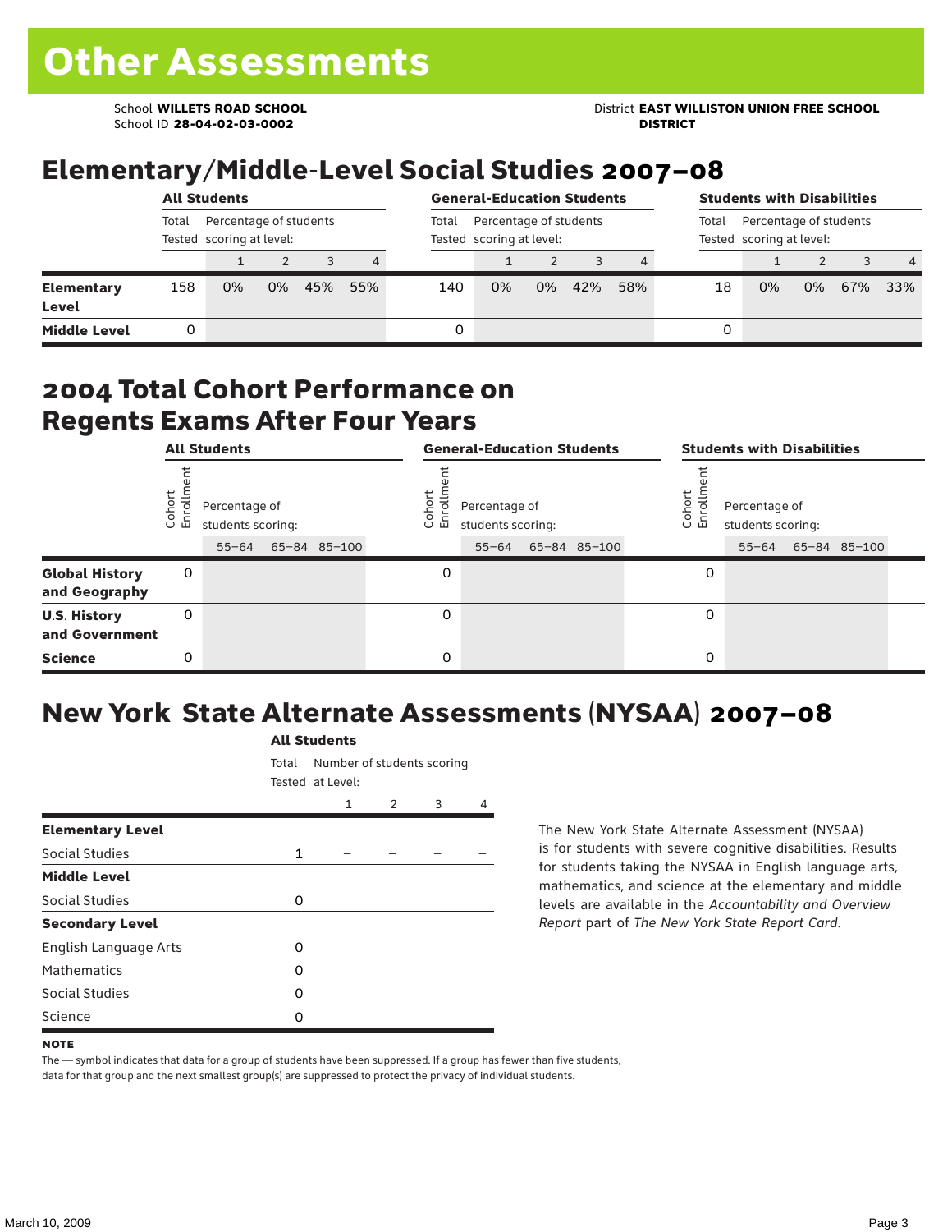School ID **28-04-02-03-0002 DISTRICT**

# Elementary/Middle-Level Social Studies 2007–08

|                                   | <b>All Students</b>                                         |    |    |     |     |       | <b>General-Education Students</b>                  | <b>Students with Disabilities</b>                           |     |     |    |    |    |     |                |
|-----------------------------------|-------------------------------------------------------------|----|----|-----|-----|-------|----------------------------------------------------|-------------------------------------------------------------|-----|-----|----|----|----|-----|----------------|
|                                   | Percentage of students<br>Total<br>Tested scoring at level: |    |    |     |     | Total | Percentage of students<br>Tested scoring at level: | Percentage of students<br>Total<br>Tested scoring at level: |     |     |    |    |    |     |                |
|                                   |                                                             |    |    | 3   | 4   |       |                                                    |                                                             |     |     |    |    |    |     | $\overline{4}$ |
| <b>Elementary</b><br><b>Level</b> | 158                                                         | 0% | 0% | 45% | 55% | 140   | 0%                                                 | 0%                                                          | 42% | 58% | 18 | 0% | 0% | 67% | 33%            |
| <b>Middle Level</b>               |                                                             |    |    |     |     | 0     |                                                    |                                                             |     |     | 0  |    |    |     |                |

#### 2004 Total Cohort Performance on Regents Exams After Four Years

|                                        | <b>All Students</b> |                                                 |  |              |  | <b>General-Education Students</b> |                                                 |  |              |  |                  | <b>Students with Disabilities</b>  |  |                    |  |  |
|----------------------------------------|---------------------|-------------------------------------------------|--|--------------|--|-----------------------------------|-------------------------------------------------|--|--------------|--|------------------|------------------------------------|--|--------------------|--|--|
|                                        | Cohort<br>Enrollm   | Percentage of<br>students scoring:<br>$55 - 64$ |  | 65-84 85-100 |  | Coho<br>$\circ$<br>ᇛ              | Percentage of<br>students scoring:<br>$55 - 64$ |  | 65-84 85-100 |  | Cohor<br>ò,<br>문 | Percentage of<br>students scoring: |  | 55-64 65-84 85-100 |  |  |
| <b>Global History</b><br>and Geography | 0                   |                                                 |  |              |  | 0                                 |                                                 |  |              |  | 0                |                                    |  |                    |  |  |
| <b>U.S. History</b><br>and Government  | 0                   |                                                 |  |              |  | $\Omega$                          |                                                 |  |              |  | 0                |                                    |  |                    |  |  |
| <b>Science</b>                         | 0                   |                                                 |  |              |  | $\Omega$                          |                                                 |  |              |  | 0                |                                    |  |                    |  |  |

# New York State Alternate Assessments (NYSAA) 2007–08

|                         |              | <b>All Students</b>                            |               |   |   |  |  |  |  |  |  |  |
|-------------------------|--------------|------------------------------------------------|---------------|---|---|--|--|--|--|--|--|--|
|                         | Total        | Number of students scoring<br>Tested at Level: |               |   |   |  |  |  |  |  |  |  |
|                         |              | 1                                              | $\mathcal{P}$ | 3 | 4 |  |  |  |  |  |  |  |
| <b>Elementary Level</b> |              |                                                |               |   |   |  |  |  |  |  |  |  |
| Social Studies          | $\mathbf{1}$ |                                                |               |   |   |  |  |  |  |  |  |  |
| <b>Middle Level</b>     |              |                                                |               |   |   |  |  |  |  |  |  |  |
| Social Studies          | O            |                                                |               |   |   |  |  |  |  |  |  |  |
| <b>Secondary Level</b>  |              |                                                |               |   |   |  |  |  |  |  |  |  |
| English Language Arts   | O            |                                                |               |   |   |  |  |  |  |  |  |  |
| <b>Mathematics</b>      | O            |                                                |               |   |   |  |  |  |  |  |  |  |
| <b>Social Studies</b>   | O            |                                                |               |   |   |  |  |  |  |  |  |  |
| Science                 | O            |                                                |               |   |   |  |  |  |  |  |  |  |

The New York State Alternate Assessment (NYSAA) is for students with severe cognitive disabilities. Results for students taking the NYSAA in English language arts, mathematics, and science at the elementary and middle levels are available in the *Accountability and Overview Report* part of *The New York State Report Card*.

The — symbol indicates that data for a group of students have been suppressed. If a group has fewer than five students, data for that group and the next smallest group(s) are suppressed to protect the privacy of individual students.

**NOTE**